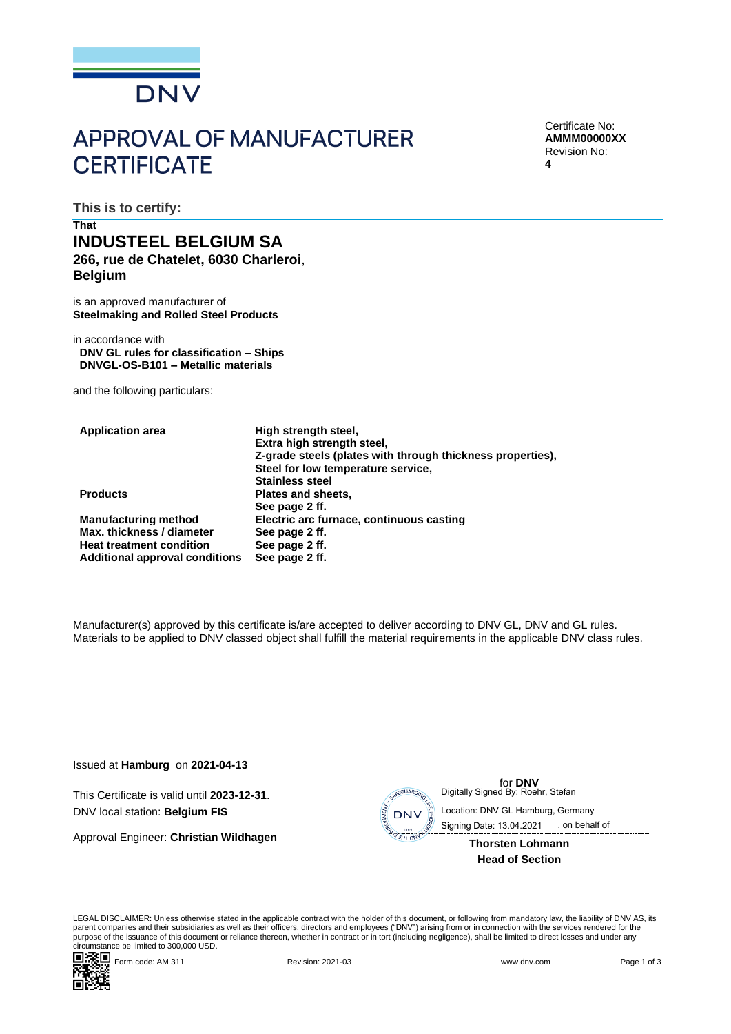

# **APPROVAL OF MANUFACTURER CERTIFICATE**

Certificate No: **AMMM00000XX** Revision No: **4**

**This is to certify:**

## **That INDUSTEEL BELGIUM SA 266, rue de Chatelet, 6030 Charleroi**, **Belgium**

is an approved manufacturer of **Steelmaking and Rolled Steel Products**

in accordance with **DNV GL rules for classification – Ships DNVGL-OS-B101 – Metallic materials**

and the following particulars:

| <b>Application area</b>               | High strength steel,<br>Extra high strength steel,                                               |
|---------------------------------------|--------------------------------------------------------------------------------------------------|
|                                       | Z-grade steels (plates with through thickness properties),<br>Steel for low temperature service, |
|                                       | <b>Stainless steel</b>                                                                           |
| <b>Products</b>                       | Plates and sheets,                                                                               |
|                                       | See page 2 ff.                                                                                   |
| <b>Manufacturing method</b>           | Electric arc furnace, continuous casting                                                         |
| Max. thickness / diameter             | See page 2 ff.                                                                                   |
| <b>Heat treatment condition</b>       | See page 2 ff.                                                                                   |
| <b>Additional approval conditions</b> | See page 2 ff.                                                                                   |

Manufacturer(s) approved by this certificate is/are accepted to deliver according to DNV GL, DNV and GL rules. Materials to be applied to DNV classed object shall fulfill the material requirements in the applicable DNV class rules.

Issued at **Hamburg** on **2021-04-13**

This Certificate is valid until **2023-12-31**. DNV local station: **Belgium FIS**

Approval Engineer: **Christian Wildhagen**



for **DNV** Digitally Signed By: Roehr, Stefan

 Signing Date: 13.04.2021 , on behalf ofLocation: DNV GL Hamburg, Germany

> **Thorsten Lohmann Head of Section**

LEGAL DISCLAIMER: Unless otherwise stated in the applicable contract with the holder of this document, or following from mandatory law, the liability of DNV AS, its parent companies and their subsidiaries as well as their officers, directors and employees ("DNV") arising from or in connection with the services rendered for the purpose of the issuance of this document or reliance thereon, whether in contract or in tort (including negligence), shall be limited to direct losses and under any circumstance be limited to 300,000 USD.

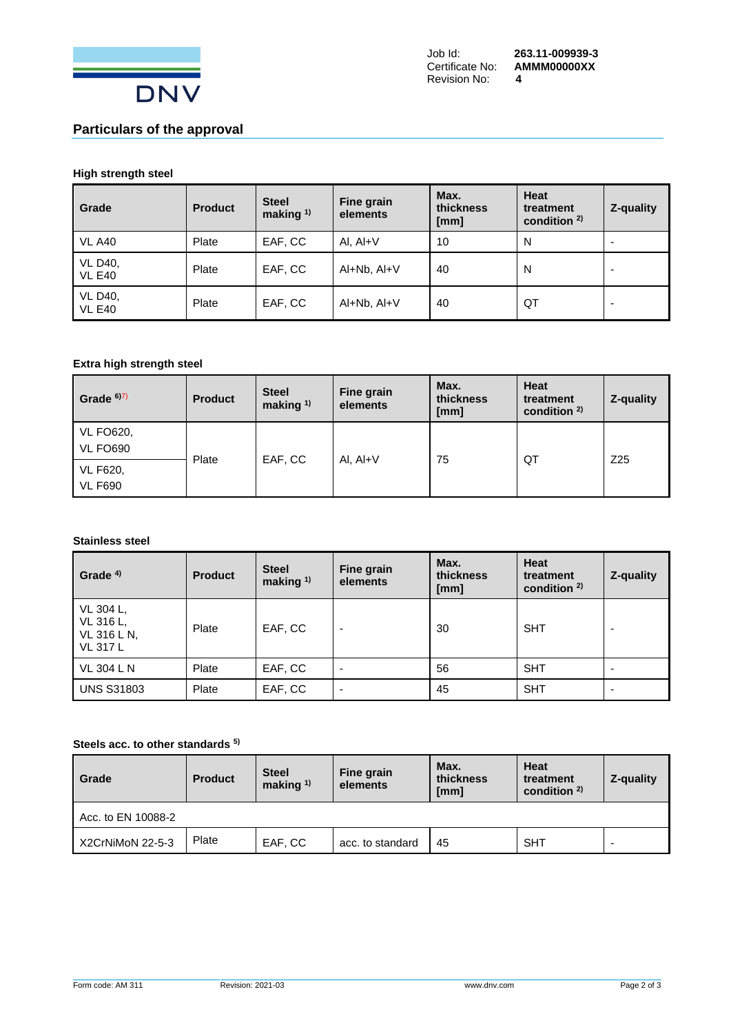

## **Particulars of the approval**

## **High strength steel**

| Grade                           | <b>Product</b> | <b>Steel</b><br>making $1$ ) | Fine grain<br>elements | Max.<br>thickness<br>[mm] | <b>Heat</b><br>treatment<br>condition $2$ ) | Z-quality                |
|---------------------------------|----------------|------------------------------|------------------------|---------------------------|---------------------------------------------|--------------------------|
| <b>VL A40</b>                   | Plate          | EAF, CC                      | Al, $AI+V$             | 10                        | N                                           | $\overline{\phantom{0}}$ |
| <b>VL D40,</b><br><b>VL E40</b> | Plate          | EAF, CC                      | Al+Nb, Al+V            | 40                        | N                                           | $\overline{a}$           |
| <b>VL D40.</b><br><b>VL E40</b> | Plate          | EAF, CC                      | Al+Nb, Al+V            | 40                        | QT                                          | $\overline{a}$           |

## **Extra high strength steel**

| Grade $6)$ 7)                       | <b>Product</b> | <b>Steel</b><br>making $1$ ) | Fine grain<br>elements | Max.<br>thickness<br>[mm] | <b>Heat</b><br>treatment<br>condition $2$ ) | Z-quality       |
|-------------------------------------|----------------|------------------------------|------------------------|---------------------------|---------------------------------------------|-----------------|
| <b>VL FO620,</b><br><b>VL FO690</b> | Plate          | EAF, CC                      | AI, $AI+V$             | 75                        | QT                                          | Z <sub>25</sub> |
| VL F620,<br><b>VL F690</b>          |                |                              |                        |                           |                                             |                 |

#### **Stainless steel**

| Grade <sup>4)</sup>                                      | <b>Product</b> | <b>Steel</b><br>making $1$ ) | Fine grain<br>elements   | Max.<br>thickness<br>[mm] | <b>Heat</b><br>treatment<br>condition $2$ ) | Z-quality                |
|----------------------------------------------------------|----------------|------------------------------|--------------------------|---------------------------|---------------------------------------------|--------------------------|
| VL 304 L,<br>VL 316 L,<br>VL 316 L N,<br><b>VL 317 L</b> | Plate          | EAF, CC                      | $\overline{\phantom{a}}$ | 30                        | <b>SHT</b>                                  | $\overline{\phantom{0}}$ |
| <b>VL 304 L N</b>                                        | Plate          | EAF, CC                      |                          | 56                        | <b>SHT</b>                                  | ٠                        |
| <b>UNS S31803</b>                                        | Plate          | EAF, CC                      |                          | 45                        | <b>SHT</b>                                  | $\overline{\phantom{0}}$ |

#### **Steels acc. to other standards 5)**

| Grade              | <b>Product</b> | <b>Steel</b><br>making $1$ ) | Fine grain<br>elements | Max.<br>thickness<br>[mm] | <b>Heat</b><br>treatment<br>condition $2$ | Z-quality |
|--------------------|----------------|------------------------------|------------------------|---------------------------|-------------------------------------------|-----------|
| Acc. to EN 10088-2 |                |                              |                        |                           |                                           |           |
| X2CrNiMoN 22-5-3   | Plate          | EAF. CC                      | acc. to standard       | 45                        | <b>SHT</b>                                | -         |